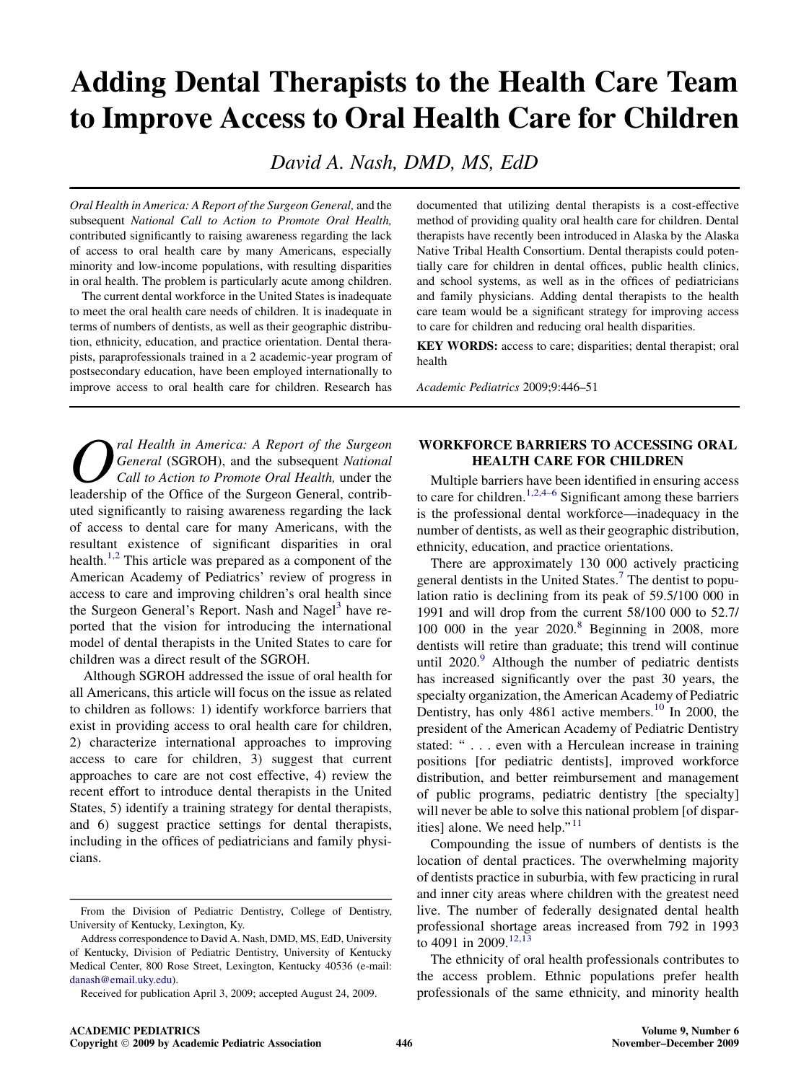# Adding Dental Therapists to the Health Care Team to Improve Access to Oral Health Care for Children

David A. Nash, DMD, MS, EdD

Oral Health in America: A Report of the Surgeon General, and the subsequent National Call to Action to Promote Oral Health, contributed significantly to raising awareness regarding the lack of access to oral health care by many Americans, especially minority and low-income populations, with resulting disparities in oral health. The problem is particularly acute among children.

The current dental workforce in the United States is inadequate to meet the oral health care needs of children. It is inadequate in terms of numbers of dentists, as well as their geographic distribution, ethnicity, education, and practice orientation. Dental therapists, paraprofessionals trained in a 2 academic-year program of postsecondary education, have been employed internationally to improve access to oral health care for children. Research has

ral Health in America: A Report of the Surgeon General (SGROH), and the subsequent National Call to Action to Promote Oral Health, under the leadership of the Office of the Surgeon General, contributed significantly to raising awareness regarding the lack of access to dental care for many Americans, with the resultant existence of significant disparities in oral health.<sup>[1,2](#page-4-0)</sup> This article was prepared as a component of the American Academy of Pediatrics' review of progress in access to care and improving children's oral health since the Surgeon General's Report. Nash and Nagel<sup>[3](#page-4-0)</sup> have reported that the vision for introducing the international model of dental therapists in the United States to care for children was a direct result of the SGROH.

Although SGROH addressed the issue of oral health for all Americans, this article will focus on the issue as related to children as follows: 1) identify workforce barriers that exist in providing access to oral health care for children, 2) characterize international approaches to improving access to care for children, 3) suggest that current approaches to care are not cost effective, 4) review the recent effort to introduce dental therapists in the United States, 5) identify a training strategy for dental therapists, and 6) suggest practice settings for dental therapists, including in the offices of pediatricians and family physicians.

documented that utilizing dental therapists is a cost-effective method of providing quality oral health care for children. Dental therapists have recently been introduced in Alaska by the Alaska Native Tribal Health Consortium. Dental therapists could potentially care for children in dental offices, public health clinics, and school systems, as well as in the offices of pediatricians and family physicians. Adding dental therapists to the health care team would be a significant strategy for improving access to care for children and reducing oral health disparities.

KEY WORDS: access to care; disparities; dental therapist; oral health

Academic Pediatrics 2009;9:446–51

## WORKFORCE BARRIERS TO ACCESSING ORAL HEALTH CARE FOR CHILDREN

Multiple barriers have been identified in ensuring access to care for children.<sup>[1,2,4–6](#page-4-0)</sup> Significant among these barriers is the professional dental workforce—inadequacy in the number of dentists, as well as their geographic distribution, ethnicity, education, and practice orientations.

There are approximately 130 000 actively practicing general dentists in the United States.<sup>[7](#page-4-0)</sup> The dentist to population ratio is declining from its peak of 59.5/100 000 in 1991 and will drop from the current 58/100 000 to 52.7/ 100 000 in the year  $2020$ .<sup>[8](#page-4-0)</sup> Beginning in 2008, more dentists will retire than graduate; this trend will continue until  $2020$ .<sup>[9](#page-4-0)</sup> Although the number of pediatric dentists has increased significantly over the past 30 years, the specialty organization, the American Academy of Pediatric Dentistry, has only 4861 active members.<sup>[10](#page-4-0)</sup> In 2000, the president of the American Academy of Pediatric Dentistry stated: " . . . even with a Herculean increase in training positions [for pediatric dentists], improved workforce distribution, and better reimbursement and management of public programs, pediatric dentistry [the specialty] will never be able to solve this national problem [of dispar-ities] alone. We need help."<sup>[11](#page-4-0)</sup>

Compounding the issue of numbers of dentists is the location of dental practices. The overwhelming majority of dentists practice in suburbia, with few practicing in rural and inner city areas where children with the greatest need live. The number of federally designated dental health professional shortage areas increased from 792 in 1993 to 4091 in 2009.<sup>[12,13](#page-4-0)</sup>

The ethnicity of oral health professionals contributes to the access problem. Ethnic populations prefer health professionals of the same ethnicity, and minority health

From the Division of Pediatric Dentistry, College of Dentistry, University of Kentucky, Lexington, Ky.

Address correspondence to David A. Nash, DMD, MS, EdD, University of Kentucky, Division of Pediatric Dentistry, University of Kentucky Medical Center, 800 Rose Street, Lexington, Kentucky 40536 (e-mail: [danash@email.uky.edu](mailto:danash@email.uky.edu)).

Received for publication April 3, 2009; accepted August 24, 2009.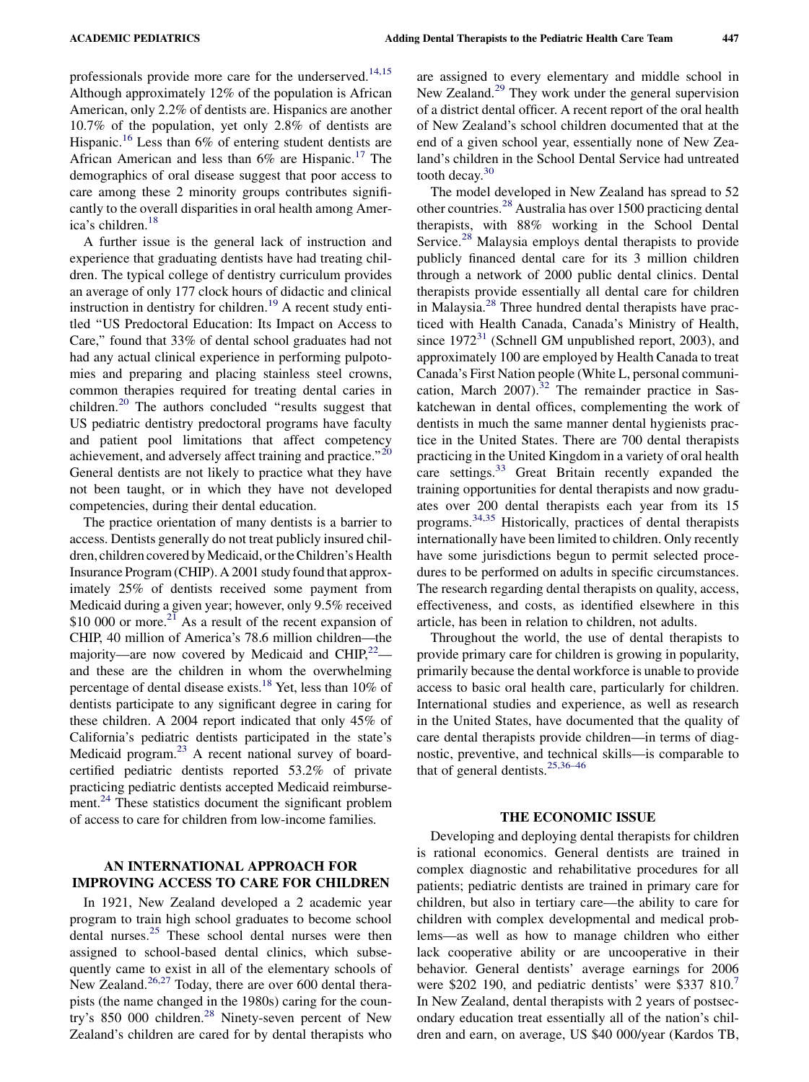professionals provide more care for the underserved.<sup>[14,15](#page-4-0)</sup> Although approximately 12% of the population is African American, only 2.2% of dentists are. Hispanics are another 10.7% of the population, yet only 2.8% of dentists are Hispanic.<sup>[16](#page-4-0)</sup> Less than 6% of entering student dentists are African American and less than 6% are Hispanic.<sup>[17](#page-4-0)</sup> The demographics of oral disease suggest that poor access to care among these 2 minority groups contributes significantly to the overall disparities in oral health among Amer-ica's children.<sup>[18](#page-4-0)</sup>

A further issue is the general lack of instruction and experience that graduating dentists have had treating children. The typical college of dentistry curriculum provides an average of only 177 clock hours of didactic and clinical instruction in dentistry for children.<sup>[19](#page-4-0)</sup> A recent study entitled ''US Predoctoral Education: Its Impact on Access to Care,'' found that 33% of dental school graduates had not had any actual clinical experience in performing pulpotomies and preparing and placing stainless steel crowns, common therapies required for treating dental caries in children.<sup>[20](#page-4-0)</sup> The authors concluded "results suggest that US pediatric dentistry predoctoral programs have faculty and patient pool limitations that affect competency achievement, and adversely affect training and practice."<sup>20</sup> General dentists are not likely to practice what they have not been taught, or in which they have not developed competencies, during their dental education.

The practice orientation of many dentists is a barrier to access. Dentists generally do not treat publicly insured children, children covered by Medicaid, or the Children's Health Insurance Program (CHIP). A 2001 study found that approximately 25% of dentists received some payment from Medicaid during a given year; however, only 9.5% received \$10 000 or more. $^{21}$  $^{21}$  $^{21}$  As a result of the recent expansion of CHIP, 40 million of America's 78.6 million children—the majority—are now covered by Medicaid and  $CHIP^{22}_{\cdot}$  and these are the children in whom the overwhelming percentage of dental disease exists.<sup>18</sup> Yet, less than 10% of dentists participate to any significant degree in caring for these children. A 2004 report indicated that only 45% of California's pediatric dentists participated in the state's Medicaid program.<sup>[23](#page-5-0)</sup> A recent national survey of boardcertified pediatric dentists reported 53.2% of private practicing pediatric dentists accepted Medicaid reimburse-ment.<sup>[24](#page-5-0)</sup> These statistics document the significant problem of access to care for children from low-income families.

## AN INTERNATIONAL APPROACH FOR IMPROVING ACCESS TO CARE FOR CHILDREN

In 1921, New Zealand developed a 2 academic year program to train high school graduates to become school dental nurses.[25](#page-5-0) These school dental nurses were then assigned to school-based dental clinics, which subsequently came to exist in all of the elementary schools of New Zealand.<sup>[26,27](#page-5-0)</sup> Today, there are over 600 dental therapists (the name changed in the 1980s) caring for the coun-try's 850 000 children.<sup>[28](#page-5-0)</sup> Ninety-seven percent of New Zealand's children are cared for by dental therapists who

are assigned to every elementary and middle school in New Zealand.<sup>[29](#page-5-0)</sup> They work under the general supervision of a district dental officer. A recent report of the oral health of New Zealand's school children documented that at the end of a given school year, essentially none of New Zealand's children in the School Dental Service had untreated tooth decay. $30$ 

The model developed in New Zealand has spread to 52 other countries.[28](#page-5-0) Australia has over 1500 practicing dental therapists, with 88% working in the School Dental Service.<sup>[28](#page-5-0)</sup> Malaysia employs dental therapists to provide publicly financed dental care for its 3 million children through a network of 2000 public dental clinics. Dental therapists provide essentially all dental care for children in Malaysia.[28](#page-5-0) Three hundred dental therapists have practiced with Health Canada, Canada's Ministry of Health, since  $1972<sup>31</sup>$  $1972<sup>31</sup>$  $1972<sup>31</sup>$  (Schnell GM unpublished report, 2003), and approximately 100 are employed by Health Canada to treat Canada's First Nation people (White L, personal communication, March 2007). $32$  The remainder practice in Saskatchewan in dental offices, complementing the work of dentists in much the same manner dental hygienists practice in the United States. There are 700 dental therapists practicing in the United Kingdom in a variety of oral health care settings.<sup>[33](#page-5-0)</sup> Great Britain recently expanded the training opportunities for dental therapists and now graduates over 200 dental therapists each year from its 15 programs.[34,35](#page-5-0) Historically, practices of dental therapists internationally have been limited to children. Only recently have some jurisdictions begun to permit selected procedures to be performed on adults in specific circumstances. The research regarding dental therapists on quality, access, effectiveness, and costs, as identified elsewhere in this article, has been in relation to children, not adults.

Throughout the world, the use of dental therapists to provide primary care for children is growing in popularity, primarily because the dental workforce is unable to provide access to basic oral health care, particularly for children. International studies and experience, as well as research in the United States, have documented that the quality of care dental therapists provide children—in terms of diagnostic, preventive, and technical skills—is comparable to that of general dentists. $25,36-46$ 

#### THE ECONOMIC ISSUE

Developing and deploying dental therapists for children is rational economics. General dentists are trained in complex diagnostic and rehabilitative procedures for all patients; pediatric dentists are trained in primary care for children, but also in tertiary care—the ability to care for children with complex developmental and medical problems—as well as how to manage children who either lack cooperative ability or are uncooperative in their behavior. General dentists' average earnings for 2006 were \$202 190, and pediatric dentists' were \$33[7](#page-4-0) 810. In New Zealand, dental therapists with 2 years of postsecondary education treat essentially all of the nation's children and earn, on average, US \$40 000/year (Kardos TB,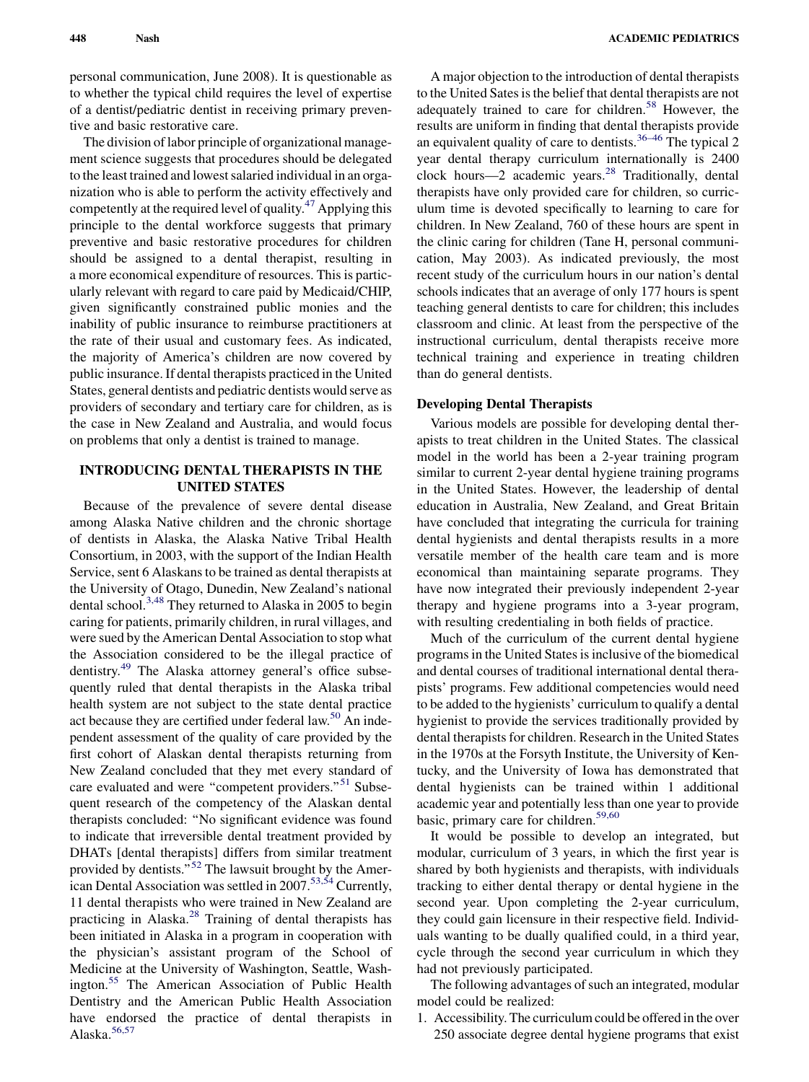personal communication, June 2008). It is questionable as to whether the typical child requires the level of expertise of a dentist/pediatric dentist in receiving primary preventive and basic restorative care.

The division of labor principle of organizational management science suggests that procedures should be delegated to the least trained and lowest salaried individual in an organization who is able to perform the activity effectively and competently at the required level of quality.<sup>[47](#page-5-0)</sup> Applying this principle to the dental workforce suggests that primary preventive and basic restorative procedures for children should be assigned to a dental therapist, resulting in a more economical expenditure of resources. This is particularly relevant with regard to care paid by Medicaid/CHIP, given significantly constrained public monies and the inability of public insurance to reimburse practitioners at the rate of their usual and customary fees. As indicated, the majority of America's children are now covered by public insurance. If dental therapists practiced in the United States, general dentists and pediatric dentists would serve as providers of secondary and tertiary care for children, as is the case in New Zealand and Australia, and would focus on problems that only a dentist is trained to manage.

## INTRODUCING DENTAL THERAPISTS IN THE UNITED STATES

Because of the prevalence of severe dental disease among Alaska Native children and the chronic shortage of dentists in Alaska, the Alaska Native Tribal Health Consortium, in 2003, with the support of the Indian Health Service, sent 6 Alaskans to be trained as dental therapists at the University of Otago, Dunedin, New Zealand's national dental school.<sup>[3,48](#page-4-0)</sup> They returned to Alaska in 2005 to begin caring for patients, primarily children, in rural villages, and were sued by the American Dental Association to stop what the Association considered to be the illegal practice of dentistry.<sup>[49](#page-5-0)</sup> The Alaska attorney general's office subsequently ruled that dental therapists in the Alaska tribal health system are not subject to the state dental practice act because they are certified under federal law.<sup>[50](#page-5-0)</sup> An independent assessment of the quality of care provided by the first cohort of Alaskan dental therapists returning from New Zealand concluded that they met every standard of care evaluated and were "competent providers."<sup>[51](#page-5-0)</sup> Subsequent research of the competency of the Alaskan dental therapists concluded: ''No significant evidence was found to indicate that irreversible dental treatment provided by DHATs [dental therapists] differs from similar treatment provided by dentists."<sup>[52](#page-5-0)</sup> The lawsuit brought by the Amer-ican Dental Association was settled in 2007.<sup>[53,54](#page-5-0)</sup> Currently, 11 dental therapists who were trained in New Zealand are practicing in Alaska. $28$  Training of dental therapists has been initiated in Alaska in a program in cooperation with the physician's assistant program of the School of Medicine at the University of Washington, Seattle, Wash-ington.<sup>[55](#page-5-0)</sup> The American Association of Public Health Dentistry and the American Public Health Association have endorsed the practice of dental therapists in Alaska.[56,57](#page-5-0)

A major objection to the introduction of dental therapists to the United Sates is the belief that dental therapists are not adequately trained to care for children.<sup>[58](#page-5-0)</sup> However, the results are uniform in finding that dental therapists provide an equivalent quality of care to dentists.<sup>36-46</sup> The typical 2 year dental therapy curriculum internationally is 2400 clock hours—2 academic years. $^{28}$  $^{28}$  $^{28}$  Traditionally, dental therapists have only provided care for children, so curriculum time is devoted specifically to learning to care for children. In New Zealand, 760 of these hours are spent in the clinic caring for children (Tane H, personal communication, May 2003). As indicated previously, the most recent study of the curriculum hours in our nation's dental schools indicates that an average of only 177 hours is spent teaching general dentists to care for children; this includes classroom and clinic. At least from the perspective of the instructional curriculum, dental therapists receive more technical training and experience in treating children than do general dentists.

#### Developing Dental Therapists

Various models are possible for developing dental therapists to treat children in the United States. The classical model in the world has been a 2-year training program similar to current 2-year dental hygiene training programs in the United States. However, the leadership of dental education in Australia, New Zealand, and Great Britain have concluded that integrating the curricula for training dental hygienists and dental therapists results in a more versatile member of the health care team and is more economical than maintaining separate programs. They have now integrated their previously independent 2-year therapy and hygiene programs into a 3-year program, with resulting credentialing in both fields of practice.

Much of the curriculum of the current dental hygiene programs in the United States is inclusive of the biomedical and dental courses of traditional international dental therapists' programs. Few additional competencies would need to be added to the hygienists' curriculum to qualify a dental hygienist to provide the services traditionally provided by dental therapists for children. Research in the United States in the 1970s at the Forsyth Institute, the University of Kentucky, and the University of Iowa has demonstrated that dental hygienists can be trained within 1 additional academic year and potentially less than one year to provide basic, primary care for children.<sup>[59,60](#page-5-0)</sup>

It would be possible to develop an integrated, but modular, curriculum of 3 years, in which the first year is shared by both hygienists and therapists, with individuals tracking to either dental therapy or dental hygiene in the second year. Upon completing the 2-year curriculum, they could gain licensure in their respective field. Individuals wanting to be dually qualified could, in a third year, cycle through the second year curriculum in which they had not previously participated.

The following advantages of such an integrated, modular model could be realized:

1. Accessibility. The curriculum could be offered in the over 250 associate degree dental hygiene programs that exist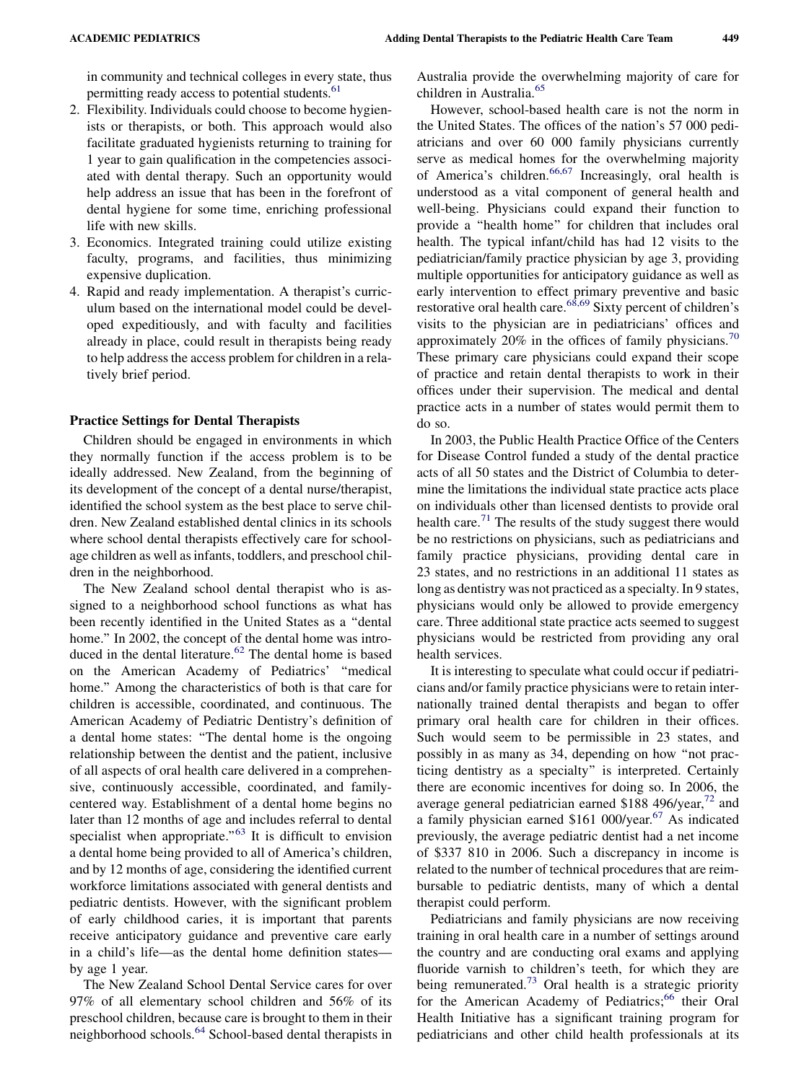in community and technical colleges in every state, thus permitting ready access to potential students.<sup>61</sup>

- 2. Flexibility. Individuals could choose to become hygienists or therapists, or both. This approach would also facilitate graduated hygienists returning to training for 1 year to gain qualification in the competencies associated with dental therapy. Such an opportunity would help address an issue that has been in the forefront of dental hygiene for some time, enriching professional life with new skills.
- 3. Economics. Integrated training could utilize existing faculty, programs, and facilities, thus minimizing expensive duplication.
- 4. Rapid and ready implementation. A therapist's curriculum based on the international model could be developed expeditiously, and with faculty and facilities already in place, could result in therapists being ready to help address the access problem for children in a relatively brief period.

#### Practice Settings for Dental Therapists

Children should be engaged in environments in which they normally function if the access problem is to be ideally addressed. New Zealand, from the beginning of its development of the concept of a dental nurse/therapist, identified the school system as the best place to serve children. New Zealand established dental clinics in its schools where school dental therapists effectively care for schoolage children as well as infants, toddlers, and preschool children in the neighborhood.

The New Zealand school dental therapist who is assigned to a neighborhood school functions as what has been recently identified in the United States as a ''dental home." In 2002, the concept of the dental home was intro-duced in the dental literature.<sup>[62](#page-5-0)</sup> The dental home is based on the American Academy of Pediatrics' ''medical home.'' Among the characteristics of both is that care for children is accessible, coordinated, and continuous. The American Academy of Pediatric Dentistry's definition of a dental home states: ''The dental home is the ongoing relationship between the dentist and the patient, inclusive of all aspects of oral health care delivered in a comprehensive, continuously accessible, coordinated, and familycentered way. Establishment of a dental home begins no later than 12 months of age and includes referral to dental specialist when appropriate."<sup>63</sup> It is difficult to envision a dental home being provided to all of America's children, and by 12 months of age, considering the identified current workforce limitations associated with general dentists and pediatric dentists. However, with the significant problem of early childhood caries, it is important that parents receive anticipatory guidance and preventive care early in a child's life—as the dental home definition states by age 1 year.

The New Zealand School Dental Service cares for over 97% of all elementary school children and 56% of its preschool children, because care is brought to them in their neighborhood schools.[64](#page-5-0) School-based dental therapists in

Australia provide the overwhelming majority of care for children in Australia.[65](#page-5-0)

However, school-based health care is not the norm in the United States. The offices of the nation's 57 000 pediatricians and over 60 000 family physicians currently serve as medical homes for the overwhelming majority of America's children.<sup>[66,67](#page-5-0)</sup> Increasingly, oral health is understood as a vital component of general health and well-being. Physicians could expand their function to provide a ''health home'' for children that includes oral health. The typical infant/child has had 12 visits to the pediatrician/family practice physician by age 3, providing multiple opportunities for anticipatory guidance as well as early intervention to effect primary preventive and basic restorative oral health care. $68,69$  Sixty percent of children's visits to the physician are in pediatricians' offices and approximately 20% in the offices of family physicians.<sup>[70](#page-5-0)</sup> These primary care physicians could expand their scope of practice and retain dental therapists to work in their offices under their supervision. The medical and dental practice acts in a number of states would permit them to do so.

In 2003, the Public Health Practice Office of the Centers for Disease Control funded a study of the dental practice acts of all 50 states and the District of Columbia to determine the limitations the individual state practice acts place on individuals other than licensed dentists to provide oral health care.<sup>[71](#page-5-0)</sup> The results of the study suggest there would be no restrictions on physicians, such as pediatricians and family practice physicians, providing dental care in 23 states, and no restrictions in an additional 11 states as long as dentistry was not practiced as a specialty. In 9 states, physicians would only be allowed to provide emergency care. Three additional state practice acts seemed to suggest physicians would be restricted from providing any oral health services.

It is interesting to speculate what could occur if pediatricians and/or family practice physicians were to retain internationally trained dental therapists and began to offer primary oral health care for children in their offices. Such would seem to be permissible in 23 states, and possibly in as many as 34, depending on how ''not practicing dentistry as a specialty'' is interpreted. Certainly there are economic incentives for doing so. In 2006, the average general pediatrician earned \$188 496/year, $^{72}$  $^{72}$  $^{72}$  and a family physician earned \$161 000/year.<sup>[67](#page-5-0)</sup> As indicated previously, the average pediatric dentist had a net income of \$337 810 in 2006. Such a discrepancy in income is related to the number of technical procedures that are reimbursable to pediatric dentists, many of which a dental therapist could perform.

Pediatricians and family physicians are now receiving training in oral health care in a number of settings around the country and are conducting oral exams and applying fluoride varnish to children's teeth, for which they are being remunerated.<sup>[73](#page-5-0)</sup> Oral health is a strategic priority for the American Academy of Pediatrics;<sup>[66](#page-5-0)</sup> their Oral Health Initiative has a significant training program for pediatricians and other child health professionals at its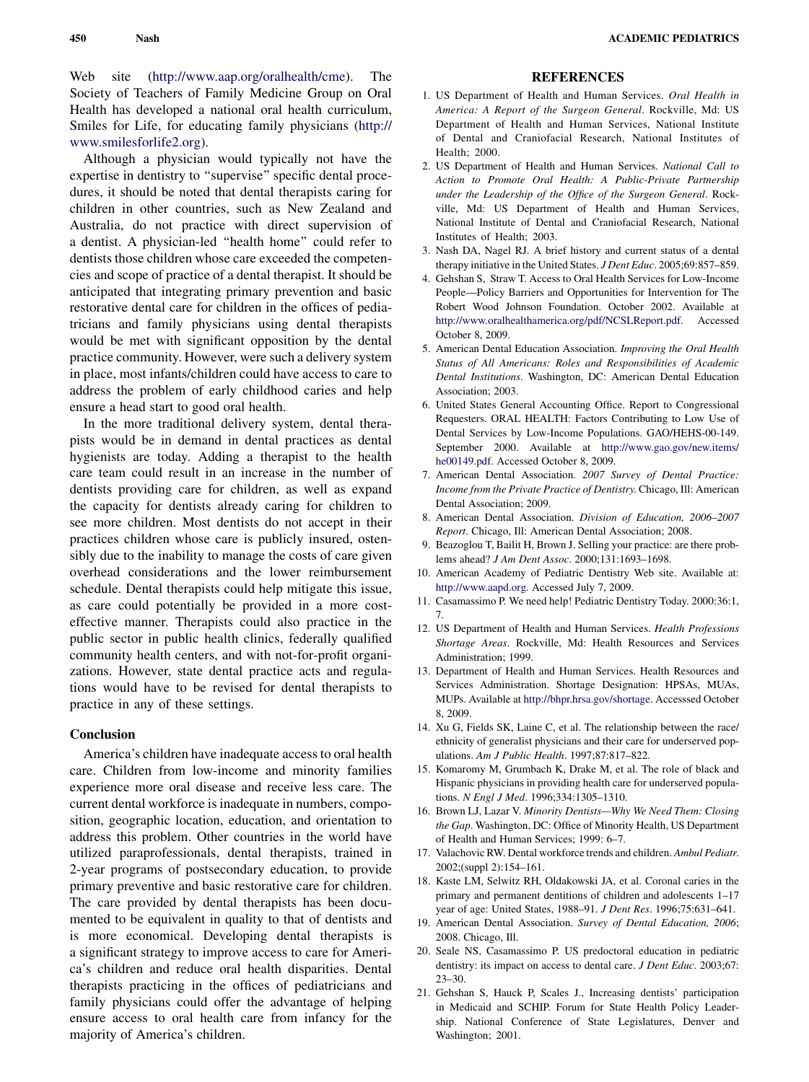<span id="page-4-0"></span>Web site [\(http://www.aap.org/oralhealth/cme\)](http://www.aap.org/oralhealth/cme). The Society of Teachers of Family Medicine Group on Oral Health has developed a national oral health curriculum, Smiles for Life, for educating family physicians [\(http://](http://www.smilesforlife2.org) [www.smilesforlife2.org](http://www.smilesforlife2.org)).

Although a physician would typically not have the expertise in dentistry to ''supervise'' specific dental procedures, it should be noted that dental therapists caring for children in other countries, such as New Zealand and Australia, do not practice with direct supervision of a dentist. A physician-led ''health home'' could refer to dentists those children whose care exceeded the competencies and scope of practice of a dental therapist. It should be anticipated that integrating primary prevention and basic restorative dental care for children in the offices of pediatricians and family physicians using dental therapists would be met with significant opposition by the dental practice community. However, were such a delivery system in place, most infants/children could have access to care to address the problem of early childhood caries and help ensure a head start to good oral health.

In the more traditional delivery system, dental therapists would be in demand in dental practices as dental hygienists are today. Adding a therapist to the health care team could result in an increase in the number of dentists providing care for children, as well as expand the capacity for dentists already caring for children to see more children. Most dentists do not accept in their practices children whose care is publicly insured, ostensibly due to the inability to manage the costs of care given overhead considerations and the lower reimbursement schedule. Dental therapists could help mitigate this issue, as care could potentially be provided in a more costeffective manner. Therapists could also practice in the public sector in public health clinics, federally qualified community health centers, and with not-for-profit organizations. However, state dental practice acts and regulations would have to be revised for dental therapists to practice in any of these settings.

## **Conclusion**

America's children have inadequate access to oral health care. Children from low-income and minority families experience more oral disease and receive less care. The current dental workforce is inadequate in numbers, composition, geographic location, education, and orientation to address this problem. Other countries in the world have utilized paraprofessionals, dental therapists, trained in 2-year programs of postsecondary education, to provide primary preventive and basic restorative care for children. The care provided by dental therapists has been documented to be equivalent in quality to that of dentists and is more economical. Developing dental therapists is a significant strategy to improve access to care for America's children and reduce oral health disparities. Dental therapists practicing in the offices of pediatricians and family physicians could offer the advantage of helping ensure access to oral health care from infancy for the majority of America's children.

### **REFERENCES**

- 1. US Department of Health and Human Services. Oral Health in America: A Report of the Surgeon General. Rockville, Md: US Department of Health and Human Services, National Institute of Dental and Craniofacial Research, National Institutes of Health; 2000.
- 2. US Department of Health and Human Services. National Call to Action to Promote Oral Health: A Public-Private Partnership under the Leadership of the Office of the Surgeon General. Rockville, Md: US Department of Health and Human Services, National Institute of Dental and Craniofacial Research, National Institutes of Health; 2003.
- 3. Nash DA, Nagel RJ. A brief history and current status of a dental therapy initiative in the United States. J Dent Educ. 2005;69:857–859.
- 4. Gehshan S, Straw T. Access to Oral Health Services for Low-Income People—Policy Barriers and Opportunities for Intervention for The Robert Wood Johnson Foundation. October 2002. Available at <http://www.oralhealthamerica.org/pdf/NCSLReport.pdf>. Accessed October 8, 2009.
- 5. American Dental Education Association. Improving the Oral Health Status of All Americans: Roles and Responsibilities of Academic Dental Institutions. Washington, DC: American Dental Education Association; 2003.
- 6. United States General Accounting Office. Report to Congressional Requesters. ORAL HEALTH: Factors Contributing to Low Use of Dental Services by Low-Income Populations. GAO/HEHS-00-149. September 2000. Available at [http://www.gao.gov/new.items/](http://www.gao.gov/new.items/he00149.pdf) [he00149.pdf](http://www.gao.gov/new.items/he00149.pdf). Accessed October 8, 2009.
- 7. American Dental Association. 2007 Survey of Dental Practice: Income from the Private Practice of Dentistry. Chicago, Ill: American Dental Association; 2009.
- 8. American Dental Association. Division of Education, 2006–2007 Report. Chicago, Ill: American Dental Association; 2008.
- 9. Beazoglou T, Bailit H, Brown J. Selling your practice: are there problems ahead? J Am Dent Assoc. 2000;131:1693–1698.
- 10. American Academy of Pediatric Dentistry Web site. Available at: [http://www.aapd.org.](http://www.aapd.org) Accessed July 7, 2009.
- 11. Casamassimo P. We need help! Pediatric Dentistry Today. 2000:36:1, 7.
- 12. US Department of Health and Human Services. Health Professions Shortage Areas. Rockville, Md: Health Resources and Services Administration; 1999.
- 13. Department of Health and Human Services. Health Resources and Services Administration. Shortage Designation: HPSAs, MUAs, MUPs. Available at <http://bhpr.hrsa.gov/shortage>. Accesssed October 8, 2009.
- 14. Xu G, Fields SK, Laine C, et al. The relationship between the race/ ethnicity of generalist physicians and their care for underserved populations. Am J Public Health. 1997;87:817–822.
- 15. Komaromy M, Grumbach K, Drake M, et al. The role of black and Hispanic physicians in providing health care for underserved populations. N Engl J Med. 1996;334:1305–1310.
- 16. Brown LJ, Lazar V. Minority Dentists—Why We Need Them: Closing the Gap. Washington, DC: Office of Minority Health, US Department of Health and Human Services; 1999: 6–7.
- 17. Valachovic RW. Dental workforce trends and children. Ambul Pediatr. 2002;(suppl 2):154–161.
- 18. Kaste LM, Selwitz RH, Oldakowski JA, et al. Coronal caries in the primary and permanent dentitions of children and adolescents 1–17 year of age: United States, 1988–91. J Dent Res. 1996;75:631–641.
- 19. American Dental Association. Survey of Dental Education, 2006; 2008. Chicago, Ill.
- 20. Seale NS, Casamassimo P. US predoctoral education in pediatric dentistry: its impact on access to dental care. *J Dent Educ*. 2003;67: 23–30.
- 21. Gehshan S, Hauck P, Scales J., Increasing dentists' participation in Medicaid and SCHIP. Forum for State Health Policy Leadership. National Conference of State Legislatures, Denver and Washington; 2001.